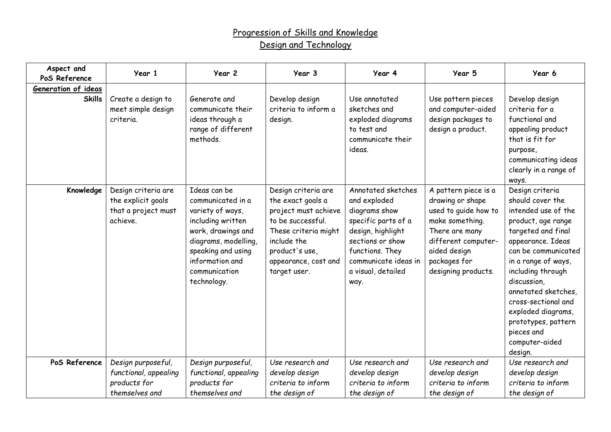## Progression of Skills and Knowledge Design and Technology

| Aspect and<br>PoS Reference          | Year 1                                                                        | Year 2                                                                                                                                                                                            | Year 3                                                                                                                                                                                 | Year 4                                                                                                                                                                                       | Year 5                                                                                                                                                                              | Year 6                                                                                                                                                                                                                                                                                                                                              |
|--------------------------------------|-------------------------------------------------------------------------------|---------------------------------------------------------------------------------------------------------------------------------------------------------------------------------------------------|----------------------------------------------------------------------------------------------------------------------------------------------------------------------------------------|----------------------------------------------------------------------------------------------------------------------------------------------------------------------------------------------|-------------------------------------------------------------------------------------------------------------------------------------------------------------------------------------|-----------------------------------------------------------------------------------------------------------------------------------------------------------------------------------------------------------------------------------------------------------------------------------------------------------------------------------------------------|
| Generation of ideas<br><b>Skills</b> | Create a design to<br>meet simple design<br>criteria.                         | Generate and<br>communicate their<br>ideas through a<br>range of different<br>methods.                                                                                                            | Develop design<br>criteria to inform a<br>design.                                                                                                                                      | Use annotated<br>sketches and<br>exploded diagrams<br>to test and<br>communicate their<br>ideas.                                                                                             | Use pattern pieces<br>and computer-aided<br>design packages to<br>design a product.                                                                                                 | Develop design<br>criteria for a<br>functional and<br>appealing product<br>that is fit for<br>purpose,<br>communicating ideas<br>clearly in a range of<br>ways.                                                                                                                                                                                     |
| Knowledge                            | Design criteria are<br>the explicit goals<br>that a project must<br>achieve.  | Ideas can be<br>communicated in a<br>variety of ways,<br>including written<br>work, drawings and<br>diagrams, modelling,<br>speaking and using<br>information and<br>communication<br>technology. | Design criteria are<br>the exact goals a<br>project must achieve<br>to be successful.<br>These criteria might<br>include the<br>product's use,<br>appearance, cost and<br>target user. | Annotated sketches<br>and exploded<br>diagrams show<br>specific parts of a<br>design, highlight<br>sections or show<br>functions. They<br>communicate ideas in<br>a visual, detailed<br>way. | A pattern piece is a<br>drawing or shape<br>used to guide how to<br>make something.<br>There are many<br>different computer-<br>aided design<br>packages for<br>designing products. | Design criteria<br>should cover the<br>intended use of the<br>product, age range<br>targeted and final<br>appearance. Ideas<br>can be communicated<br>in a range of ways,<br>including through<br>discussion,<br>annotated sketches,<br>cross-sectional and<br>exploded diagrams,<br>prototypes, pattern<br>pieces and<br>computer-aided<br>design. |
| PoS Reference                        | Design purposeful,<br>functional, appealing<br>products for<br>themselves and | Design purposeful,<br>functional, appealing<br>products for<br>themselves and                                                                                                                     | Use research and<br>develop design<br>criteria to inform<br>the design of                                                                                                              | Use research and<br>develop design<br>criteria to inform<br>the design of                                                                                                                    | Use research and<br>develop design<br>criteria to inform<br>the design of                                                                                                           | Use research and<br>develop design<br>criteria to inform<br>the design of                                                                                                                                                                                                                                                                           |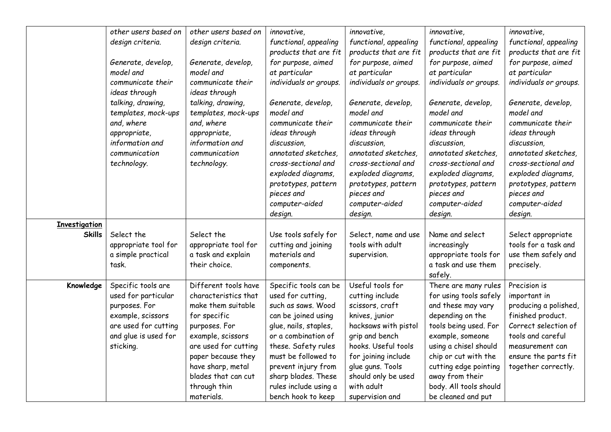|                      | other users based on | other users based on | innovative,            | innovative.            | innovative,            | innovative,            |
|----------------------|----------------------|----------------------|------------------------|------------------------|------------------------|------------------------|
|                      |                      |                      |                        |                        |                        |                        |
|                      | design criteria.     | design criteria.     | functional, appealing  | functional, appealing  | functional, appealing  | functional, appealing  |
|                      |                      |                      | products that are fit  | products that are fit  | products that are fit  | products that are fit  |
|                      | Generate, develop,   | Generate, develop,   | for purpose, aimed     | for purpose, aimed     | for purpose, aimed     | for purpose, aimed     |
|                      | model and            | model and            | at particular          | at particular          | at particular          | at particular          |
|                      | communicate their    | communicate their    | individuals or groups. | individuals or groups. | individuals or groups. | individuals or groups. |
|                      | ideas through        | ideas through        |                        |                        |                        |                        |
|                      | talking, drawing,    | talking, drawing,    | Generate, develop,     | Generate, develop,     | Generate, develop,     | Generate, develop,     |
|                      | templates, mock-ups  | templates, mock-ups  | model and              | model and              | model and              | model and              |
|                      | and, where           | and, where           | communicate their      | communicate their      | communicate their      | communicate their      |
|                      | appropriate,         | appropriate,         | ideas through          | ideas through          | ideas through          | ideas through          |
|                      | information and      | information and      | discussion,            | discussion.            | discussion.            | discussion,            |
|                      | communication        | communication        | annotated sketches,    | annotated sketches,    | annotated sketches     | annotated sketches,    |
|                      | technology.          | technology.          | cross-sectional and    | cross-sectional and    | cross-sectional and    | cross-sectional and    |
|                      |                      |                      | exploded diagrams,     | exploded diagrams,     | exploded diagrams,     | exploded diagrams,     |
|                      |                      |                      | prototypes, pattern    | prototypes, pattern    | prototypes, pattern    | prototypes, pattern    |
|                      |                      |                      | pieces and             | pieces and             | pieces and             | pieces and             |
|                      |                      |                      | computer-aided         | computer-aided         | computer-aided         | computer-aided         |
|                      |                      |                      | design.                | design.                | design.                | design.                |
| <b>Investigation</b> |                      |                      |                        |                        |                        |                        |
| <b>Skills</b>        | Select the           | Select the           | Use tools safely for   | Select, name and use   | Name and select        | Select appropriate     |
|                      | appropriate tool for | appropriate tool for | cutting and joining    | tools with adult       | increasingly           | tools for a task and   |
|                      | a simple practical   | a task and explain   | materials and          | supervision.           | appropriate tools for  | use them safely and    |
|                      | task.                | their choice.        | components.            |                        | a task and use them    | precisely.             |
|                      |                      |                      |                        |                        | safely.                |                        |
| Knowledge            | Specific tools are   | Different tools have | Specific tools can be  | Useful tools for       | There are many rules   | Precision is           |
|                      | used for particular  | characteristics that | used for cutting,      | cutting include        | for using tools safely | important in           |
|                      | purposes. For        | make them suitable   | such as saws. Wood     | scissors, craft        | and these may vary     | producing a polished,  |
|                      | example, scissors    | for specific         | can be joined using    | knives, junior         | depending on the       | finished product.      |
|                      | are used for cutting | purposes. For        | glue, nails, staples,  | hacksaws with pistol   | tools being used. For  | Correct selection of   |
|                      | and glue is used for | example, scissors    | or a combination of    | grip and bench         | example, someone       | tools and careful      |
|                      | sticking.            | are used for cutting | these. Safety rules    | hooks. Useful tools    | using a chisel should  | measurement can        |
|                      |                      | paper because they   | must be followed to    | for joining include    | chip or cut with the   | ensure the parts fit   |
|                      |                      | have sharp, metal    | prevent injury from    | glue guns. Tools       | cutting edge pointing  | together correctly.    |
|                      |                      | blades that can cut  | sharp blades. These    | should only be used    | away from their        |                        |
|                      |                      | through thin         | rules include using a  | with adult             | body. All tools should |                        |
|                      |                      | materials.           | bench hook to keep     | supervision and        | be cleaned and put     |                        |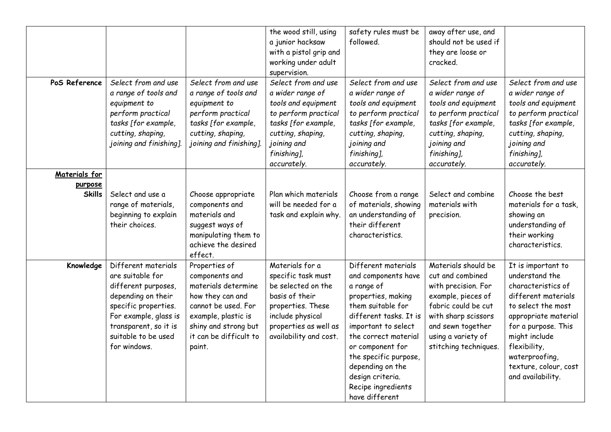|                          |                                                                                                                                                                                                       |                                                                                                                                                                                      | the wood still, using<br>a junior hacksaw<br>with a pistol grip and<br>working under adult<br>supervision.                                                                      | safety rules must be<br>followed.                                                                                                                                                                                                                                                                         | away after use, and<br>should not be used if<br>they are loose or<br>cracked.                                                                                                                          |                                                                                                                                                                                                                                                         |
|--------------------------|-------------------------------------------------------------------------------------------------------------------------------------------------------------------------------------------------------|--------------------------------------------------------------------------------------------------------------------------------------------------------------------------------------|---------------------------------------------------------------------------------------------------------------------------------------------------------------------------------|-----------------------------------------------------------------------------------------------------------------------------------------------------------------------------------------------------------------------------------------------------------------------------------------------------------|--------------------------------------------------------------------------------------------------------------------------------------------------------------------------------------------------------|---------------------------------------------------------------------------------------------------------------------------------------------------------------------------------------------------------------------------------------------------------|
| PoS Reference            | Select from and use<br>a range of tools and<br>equipment to<br>perform practical<br>tasks [for example,<br>cutting, shaping,<br>joining and finishing].                                               | Select from and use<br>a range of tools and<br>equipment to<br>perform practical<br>tasks [for example,<br>cutting, shaping,<br>joining and finishing].                              | Select from and use<br>a wider range of<br>tools and equipment<br>to perform practical<br>tasks [for example,<br>cutting, shaping,<br>joining and<br>finishing],<br>accurately. | Select from and use<br>a wider range of<br>tools and equipment<br>to perform practical<br>tasks [for example,<br>cutting, shaping,<br>joining and<br>finishing],<br>accurately.                                                                                                                           | Select from and use<br>a wider range of<br>tools and equipment<br>to perform practical<br>tasks [for example,<br>cutting, shaping,<br>joining and<br>finishing],<br>accurately.                        | Select from and use<br>a wider range of<br>tools and equipment<br>to perform practical<br>tasks [for example,<br>cutting, shaping,<br>joining and<br>finishing],<br>accurately.                                                                         |
| Materials for<br>purpose |                                                                                                                                                                                                       |                                                                                                                                                                                      |                                                                                                                                                                                 |                                                                                                                                                                                                                                                                                                           |                                                                                                                                                                                                        |                                                                                                                                                                                                                                                         |
| <b>Skills</b>            | Select and use a<br>range of materials,<br>beginning to explain<br>their choices.                                                                                                                     | Choose appropriate<br>components and<br>materials and<br>suggest ways of<br>manipulating them to<br>achieve the desired<br>effect.                                                   | Plan which materials<br>will be needed for a<br>task and explain why.                                                                                                           | Choose from a range<br>of materials, showing<br>an understanding of<br>their different<br>characteristics.                                                                                                                                                                                                | Select and combine<br>materials with<br>precision.                                                                                                                                                     | Choose the best<br>materials for a task,<br>showing an<br>understanding of<br>their working<br>characteristics.                                                                                                                                         |
| Knowledge                | Different materials<br>are suitable for<br>different purposes,<br>depending on their<br>specific properties.<br>For example, glass is<br>transparent, so it is<br>suitable to be used<br>for windows. | Properties of<br>components and<br>materials determine<br>how they can and<br>cannot be used. For<br>example, plastic is<br>shiny and strong but<br>it can be difficult to<br>paint. | Materials for a<br>specific task must<br>be selected on the<br>basis of their<br>properties. These<br>include physical<br>properties as well as<br>availability and cost.       | Different materials<br>and components have<br>a range of<br>properties, making<br>them suitable for<br>different tasks. It is<br>important to select<br>the correct material<br>or component for<br>the specific purpose,<br>depending on the<br>design criteria.<br>Recipe ingredients<br>have different | Materials should be<br>cut and combined<br>with precision. For<br>example, pieces of<br>fabric could be cut<br>with sharp scissors<br>and sewn together<br>using a variety of<br>stitching techniques. | It is important to<br>understand the<br>characteristics of<br>different materials<br>to select the most<br>appropriate material<br>for a purpose. This<br>might include<br>flexibility,<br>waterproofing,<br>texture, colour, cost<br>and availability. |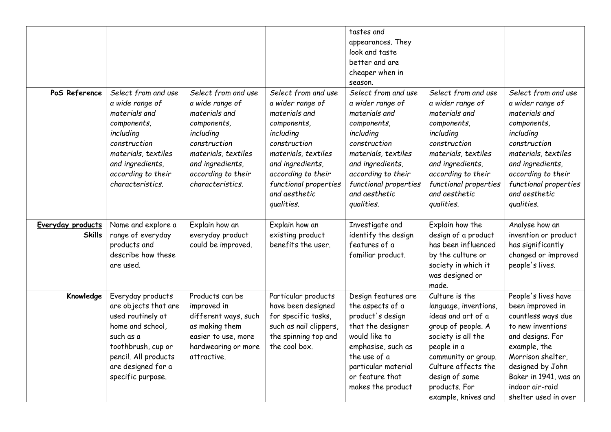|                                    |                                                                                                                                                                                          |                                                                                                                                                                                          |                                                                                                                                                                                                                               | tastes and<br>appearances. They<br>look and taste<br>better and are<br>cheaper when in<br>season.                                                                                                                             |                                                                                                                                                                                                                                  |                                                                                                                                                                                                                                     |
|------------------------------------|------------------------------------------------------------------------------------------------------------------------------------------------------------------------------------------|------------------------------------------------------------------------------------------------------------------------------------------------------------------------------------------|-------------------------------------------------------------------------------------------------------------------------------------------------------------------------------------------------------------------------------|-------------------------------------------------------------------------------------------------------------------------------------------------------------------------------------------------------------------------------|----------------------------------------------------------------------------------------------------------------------------------------------------------------------------------------------------------------------------------|-------------------------------------------------------------------------------------------------------------------------------------------------------------------------------------------------------------------------------------|
| PoS Reference                      | Select from and use<br>a wide range of<br>materials and<br>components,<br>including<br>construction<br>materials, textiles<br>and ingredients,<br>according to their<br>characteristics. | Select from and use<br>a wide range of<br>materials and<br>components,<br>including<br>construction<br>materials, textiles<br>and ingredients,<br>according to their<br>characteristics. | Select from and use<br>a wider range of<br>materials and<br>components,<br>including<br>construction<br>materials, textiles<br>and ingredients,<br>according to their<br>functional properties<br>and aesthetic<br>qualities. | Select from and use<br>a wider range of<br>materials and<br>components,<br>including<br>construction<br>materials, textiles<br>and ingredients,<br>according to their<br>functional properties<br>and aesthetic<br>qualities. | Select from and use<br>a wider range of<br>materials and<br>components,<br>including<br>construction<br>materials, textiles<br>and ingredients,<br>according to their<br>functional properties<br>and aesthetic<br>qualities.    | Select from and use<br>a wider range of<br>materials and<br>components,<br>including<br>construction<br>materials, textiles<br>and ingredients,<br>according to their<br>functional properties<br>and aesthetic<br>qualities.       |
| Everyday products<br><b>Skills</b> | Name and explore a<br>range of everyday<br>products and<br>describe how these<br>are used.                                                                                               | Explain how an<br>everyday product<br>could be improved.                                                                                                                                 | Explain how an<br>existing product<br>benefits the user.                                                                                                                                                                      | Investigate and<br>identify the design<br>features of a<br>familiar product.                                                                                                                                                  | Explain how the<br>design of a product<br>has been influenced<br>by the culture or<br>society in which it<br>was designed or<br>made.                                                                                            | Analyse how an<br>invention or product<br>has significantly<br>changed or improved<br>people's lives.                                                                                                                               |
| Knowledge                          | Everyday products<br>are objects that are<br>used routinely at<br>home and school,<br>such as a<br>toothbrush, cup or<br>pencil. All products<br>are designed for a<br>specific purpose. | Products can be<br>improved in<br>different ways, such<br>as making them<br>easier to use, more<br>hardwearing or more<br>attractive.                                                    | Particular products<br>have been designed<br>for specific tasks,<br>such as nail clippers,<br>the spinning top and<br>the cool box.                                                                                           | Design features are<br>the aspects of a<br>product's design<br>that the designer<br>would like to<br>emphasise, such as<br>the use of a<br>particular material<br>or feature that<br>makes the product                        | Culture is the<br>language, inventions,<br>ideas and art of a<br>group of people. A<br>society is all the<br>people in a<br>community or group.<br>Culture affects the<br>design of some<br>products. For<br>example, knives and | People's lives have<br>been improved in<br>countless ways due<br>to new inventions<br>and designs. For<br>example, the<br>Morrison shelter,<br>designed by John<br>Baker in 1941, was an<br>indoor air-raid<br>shelter used in over |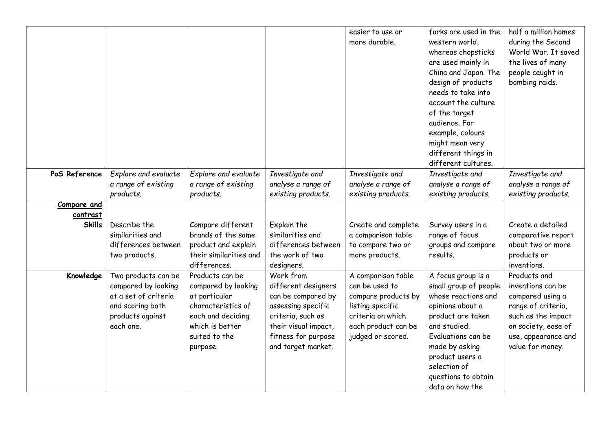|                         |                                                                                                                         |                                                                                                                                                    |                                                                                                                                                                        | easier to use or<br>more durable.                                                                                                                | forks are used in the<br>western world,<br>whereas chopsticks<br>are used mainly in<br>China and Japan. The<br>design of products<br>needs to take into<br>account the culture                                                                   | half a million homes<br>during the Second<br>World War. It saved<br>the lives of many<br>people caught in<br>bombing raids.                                         |
|-------------------------|-------------------------------------------------------------------------------------------------------------------------|----------------------------------------------------------------------------------------------------------------------------------------------------|------------------------------------------------------------------------------------------------------------------------------------------------------------------------|--------------------------------------------------------------------------------------------------------------------------------------------------|--------------------------------------------------------------------------------------------------------------------------------------------------------------------------------------------------------------------------------------------------|---------------------------------------------------------------------------------------------------------------------------------------------------------------------|
|                         |                                                                                                                         |                                                                                                                                                    |                                                                                                                                                                        |                                                                                                                                                  | of the target<br>audience. For<br>example, colours<br>might mean very<br>different things in<br>different cultures.                                                                                                                              |                                                                                                                                                                     |
| PoS Reference           | Explore and evaluate<br>a range of existing<br>products.                                                                | Explore and evaluate<br>a range of existing<br>products.                                                                                           | Investigate and<br>analyse a range of<br>existing products.                                                                                                            | Investigate and<br>analyse a range of<br>existing products.                                                                                      | Investigate and<br>analyse a range of<br>existing products.                                                                                                                                                                                      | Investigate and<br>analyse a range of<br>existing products.                                                                                                         |
| Compare and<br>contrast |                                                                                                                         |                                                                                                                                                    |                                                                                                                                                                        |                                                                                                                                                  |                                                                                                                                                                                                                                                  |                                                                                                                                                                     |
| <b>Skills</b>           | Describe the<br>similarities and<br>differences between<br>two products.                                                | Compare different<br>brands of the same<br>product and explain<br>their similarities and<br>differences.                                           | Explain the<br>similarities and<br>differences between<br>the work of two<br>designers.                                                                                | Create and complete<br>a comparison table<br>to compare two or<br>more products.                                                                 | Survey users in a<br>range of focus<br>groups and compare<br>results.                                                                                                                                                                            | Create a detailed<br>comparative report<br>about two or more<br>products or<br>inventions.                                                                          |
| Knowledge               | Two products can be<br>compared by looking<br>at a set of criteria<br>and scoring both<br>products against<br>each one. | Products can be<br>compared by looking<br>at particular<br>characteristics of<br>each and deciding<br>which is better<br>suited to the<br>purpose. | Work from<br>different designers<br>can be compared by<br>assessing specific<br>criteria, such as<br>their visual impact,<br>fitness for purpose<br>and target market. | A comparison table<br>can be used to<br>compare products by<br>listing specific<br>criteria on which<br>each product can be<br>judged or scored. | A focus group is a<br>small group of people<br>whose reactions and<br>opinions about a<br>product are taken<br>and studied.<br>Evaluations can be<br>made by asking<br>product users a<br>selection of<br>questions to obtain<br>data on how the | Products and<br>inventions can be<br>compared using a<br>range of criteria,<br>such as the impact<br>on society, ease of<br>use, appearance and<br>value for money. |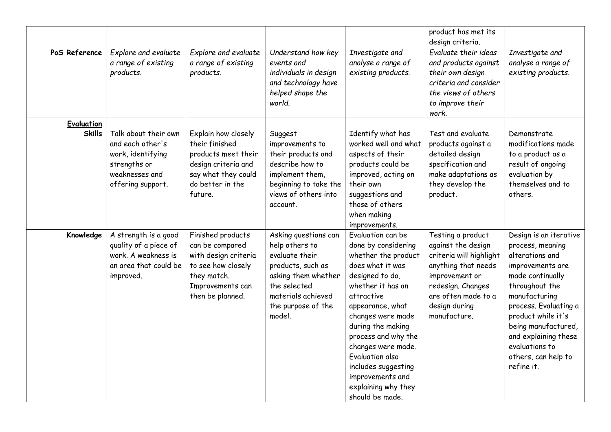|                   |                                                                                                                      |                                                                                                                                           |                                                                                                                                                                            |                                                                                                                                                                                                                                                                                                                                                              | product has met its<br>design criteria.                                                                                                                                                  |                                                                                                                                                                                                                                                                                               |
|-------------------|----------------------------------------------------------------------------------------------------------------------|-------------------------------------------------------------------------------------------------------------------------------------------|----------------------------------------------------------------------------------------------------------------------------------------------------------------------------|--------------------------------------------------------------------------------------------------------------------------------------------------------------------------------------------------------------------------------------------------------------------------------------------------------------------------------------------------------------|------------------------------------------------------------------------------------------------------------------------------------------------------------------------------------------|-----------------------------------------------------------------------------------------------------------------------------------------------------------------------------------------------------------------------------------------------------------------------------------------------|
| PoS Reference     | Explore and evaluate<br>a range of existing<br>products.                                                             | Explore and evaluate<br>a range of existing<br>products.                                                                                  | Understand how key<br>events and<br>individuals in design<br>and technology have<br>helped shape the<br>world.                                                             | Investigate and<br>analyse a range of<br>existing products.                                                                                                                                                                                                                                                                                                  | Evaluate their ideas<br>and products against<br>their own design<br>criteria and consider<br>the views of others<br>to improve their<br>work.                                            | Investigate and<br>analyse a range of<br>existing products.                                                                                                                                                                                                                                   |
| <b>Evaluation</b> |                                                                                                                      |                                                                                                                                           |                                                                                                                                                                            |                                                                                                                                                                                                                                                                                                                                                              |                                                                                                                                                                                          |                                                                                                                                                                                                                                                                                               |
| <b>Skills</b>     | Talk about their own<br>and each other's<br>work, identifying<br>strengths or<br>weaknesses and<br>offering support. | Explain how closely<br>their finished<br>products meet their<br>design criteria and<br>say what they could<br>do better in the<br>future. | Suggest<br>improvements to<br>their products and<br>describe how to<br>implement them,<br>beginning to take the<br>views of others into<br>account.                        | Identify what has<br>worked well and what<br>aspects of their<br>products could be<br>improved, acting on<br>their own<br>suggestions and<br>those of others<br>when making<br>improvements.                                                                                                                                                                 | Test and evaluate<br>products against a<br>detailed design<br>specification and<br>make adaptations as<br>they develop the<br>product.                                                   | Demonstrate<br>modifications made<br>to a product as a<br>result of ongoing<br>evaluation by<br>themselves and to<br>others.                                                                                                                                                                  |
| Knowledge         | A strength is a good<br>quality of a piece of<br>work. A weakness is<br>an area that could be<br>improved.           | Finished products<br>can be compared<br>with design criteria<br>to see how closely<br>they match.<br>Improvements can<br>then be planned. | Asking questions can<br>help others to<br>evaluate their<br>products, such as<br>asking them whether<br>the selected<br>materials achieved<br>the purpose of the<br>model. | Evaluation can be<br>done by considering<br>whether the product<br>does what it was<br>designed to do,<br>whether it has an<br>attractive<br>appearance, what<br>changes were made<br>during the making<br>process and why the<br>changes were made.<br>Evaluation also<br>includes suggesting<br>improvements and<br>explaining why they<br>should be made. | Testing a product<br>against the design<br>criteria will highlight<br>anything that needs<br>improvement or<br>redesign. Changes<br>are often made to a<br>design during<br>manufacture. | Design is an iterative<br>process, meaning<br>alterations and<br>improvements are<br>made continually<br>throughout the<br>manufacturing<br>process. Evaluating a<br>product while it's<br>being manufactured,<br>and explaining these<br>evaluations to<br>others, can help to<br>refine it. |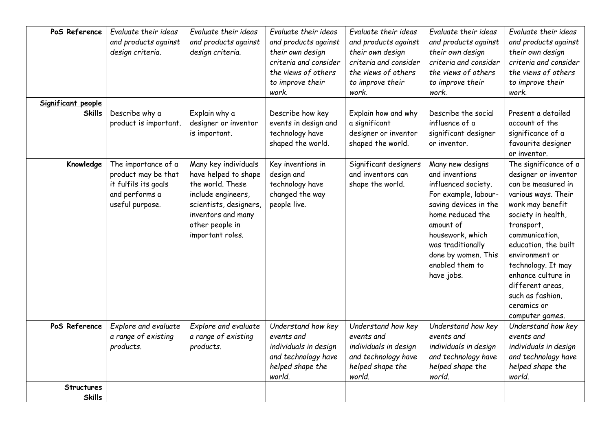| PoS Reference                       | Evaluate their ideas<br>and products against<br>design criteria.                                        | Evaluate their ideas<br>and products against<br>design criteria.                                                                                                              | Evaluate their ideas<br>and products against<br>their own design<br>criteria and consider<br>the views of others<br>to improve their<br>work. | Evaluate their ideas<br>and products against<br>their own design<br>criteria and consider<br>the views of others<br>to improve their<br>work. | Evaluate their ideas<br>and products against<br>their own design<br>criteria and consider<br>the views of others<br>to improve their<br>work.                                                                                                | Evaluate their ideas<br>and products against<br>their own design<br>criteria and consider<br>the views of others<br>to improve their<br>work.                                                                                                                                                                                        |
|-------------------------------------|---------------------------------------------------------------------------------------------------------|-------------------------------------------------------------------------------------------------------------------------------------------------------------------------------|-----------------------------------------------------------------------------------------------------------------------------------------------|-----------------------------------------------------------------------------------------------------------------------------------------------|----------------------------------------------------------------------------------------------------------------------------------------------------------------------------------------------------------------------------------------------|--------------------------------------------------------------------------------------------------------------------------------------------------------------------------------------------------------------------------------------------------------------------------------------------------------------------------------------|
| Significant people<br><b>Skills</b> | Describe why a<br>product is important.                                                                 | Explain why a<br>designer or inventor<br>is important.                                                                                                                        | Describe how key<br>events in design and<br>technology have<br>shaped the world.                                                              | Explain how and why<br>a significant<br>designer or inventor<br>shaped the world.                                                             | Describe the social<br>influence of a<br>significant designer<br>or inventor.                                                                                                                                                                | Present a detailed<br>account of the<br>significance of a<br>favourite designer<br>or inventor.                                                                                                                                                                                                                                      |
| Knowledge                           | The importance of a<br>product may be that<br>it fulfils its goals<br>and performs a<br>useful purpose. | Many key individuals<br>have helped to shape<br>the world. These<br>include engineers,<br>scientists, designers,<br>inventors and many<br>other people in<br>important roles. | Key inventions in<br>design and<br>technology have<br>changed the way<br>people live.                                                         | Significant designers<br>and inventors can<br>shape the world.                                                                                | Many new designs<br>and inventions<br>influenced society.<br>For example, labour-<br>saving devices in the<br>home reduced the<br>amount of<br>housework, which<br>was traditionally<br>done by women. This<br>enabled them to<br>have jobs. | The significance of a<br>designer or inventor<br>can be measured in<br>various ways. Their<br>work may benefit<br>society in health,<br>transport,<br>communication,<br>education, the built<br>environment or<br>technology. It may<br>enhance culture in<br>different areas,<br>such as fashion,<br>ceramics or<br>computer games. |
| PoS Reference                       | Explore and evaluate<br>a range of existing<br>products.                                                | Explore and evaluate<br>a range of existing<br>products.                                                                                                                      | Understand how key<br>events and<br>individuals in design<br>and technology have<br>helped shape the<br>world.                                | Understand how key<br>events and<br>individuals in design<br>and technology have<br>helped shape the<br>world.                                | Understand how key<br>events and<br>individuals in design<br>and technology have<br>helped shape the<br>world.                                                                                                                               | Understand how key<br>events and<br>individuals in design<br>and technology have<br>helped shape the<br>world.                                                                                                                                                                                                                       |
| Structures<br><b>Skills</b>         |                                                                                                         |                                                                                                                                                                               |                                                                                                                                               |                                                                                                                                               |                                                                                                                                                                                                                                              |                                                                                                                                                                                                                                                                                                                                      |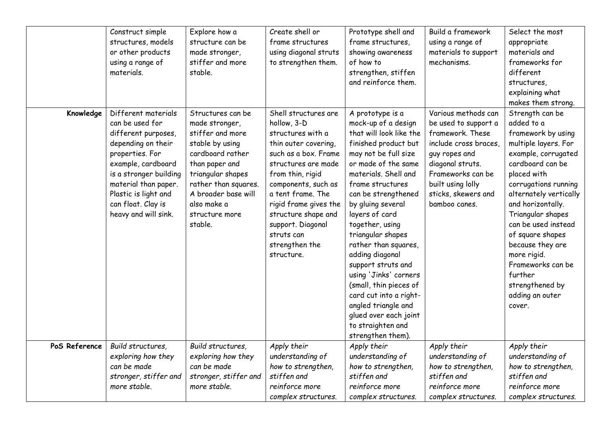|               | Construct simple<br>structures, models<br>or other products<br>using a range of<br>materials.                                                                                                                                                        | Explore how a<br>structure can be<br>made stronger,<br>stiffer and more<br>stable.                                                                                                                                               | Create shell or<br>frame structures<br>using diagonal struts<br>to strengthen them.                                                                                                                                                                                                                                | Prototype shell and<br>frame structures,<br>showing awareness<br>of how to<br>strengthen, stiffen<br>and reinforce them.                                                                                                                                                                                                                                                                                                                                                                                                            | Build a framework<br>using a range of<br>materials to support<br>mechanisms.                                                                                                                                   | Select the most<br>appropriate<br>materials and<br>frameworks for<br>different<br>structures,<br>explaining what<br>makes them strong.                                                                                                                                                                                                                                                          |
|---------------|------------------------------------------------------------------------------------------------------------------------------------------------------------------------------------------------------------------------------------------------------|----------------------------------------------------------------------------------------------------------------------------------------------------------------------------------------------------------------------------------|--------------------------------------------------------------------------------------------------------------------------------------------------------------------------------------------------------------------------------------------------------------------------------------------------------------------|-------------------------------------------------------------------------------------------------------------------------------------------------------------------------------------------------------------------------------------------------------------------------------------------------------------------------------------------------------------------------------------------------------------------------------------------------------------------------------------------------------------------------------------|----------------------------------------------------------------------------------------------------------------------------------------------------------------------------------------------------------------|-------------------------------------------------------------------------------------------------------------------------------------------------------------------------------------------------------------------------------------------------------------------------------------------------------------------------------------------------------------------------------------------------|
| Knowledge     | Different materials<br>can be used for<br>different purposes,<br>depending on their<br>properties. For<br>example, cardboard<br>is a stronger building<br>material than paper.<br>Plastic is light and<br>can float. Clay is<br>heavy and will sink. | Structures can be<br>made stronger,<br>stiffer and more<br>stable by using<br>cardboard rather<br>than paper and<br>triangular shapes<br>rather than squares.<br>A broader base will<br>also make a<br>structure more<br>stable. | Shell structures are<br>hollow, 3-D<br>structures with a<br>thin outer covering,<br>such as a box. Frame<br>structures are made<br>from thin, rigid<br>components, such as<br>a tent frame. The<br>rigid frame gives the<br>structure shape and<br>support. Diagonal<br>struts can<br>strengthen the<br>structure. | A prototype is a<br>mock-up of a design<br>that will look like the<br>finished product but<br>may not be full size<br>or made of the same<br>materials. Shell and<br>frame structures<br>can be strengthened<br>by gluing several<br>layers of card<br>together, using<br>triangular shapes<br>rather than squares,<br>adding diagonal<br>support struts and<br>using 'Jinks' corners<br>(small, thin pieces of<br>card cut into a right-<br>angled triangle and<br>glued over each joint<br>to straighten and<br>strengthen them). | Various methods can<br>be used to support a<br>framework. These<br>include cross braces<br>guy ropes and<br>diagonal struts.<br>Frameworks can be<br>built using lolly<br>sticks, skewers and<br>bamboo canes. | Strength can be<br>added to a<br>framework by using<br>multiple layers. For<br>example, corrugated<br>cardboard can be<br>placed with<br>corrugations running<br>alternately vertically<br>and horizontally.<br>Triangular shapes<br>can be used instead<br>of square shapes<br>because they are<br>more rigid.<br>Frameworks can be<br>further<br>strengthened by<br>adding an outer<br>cover. |
| PoS Reference | Build structures,<br>exploring how they<br>can be made<br>stronger, stiffer and<br>more stable.                                                                                                                                                      | Build structures,<br>exploring how they<br>can be made<br>stronger, stiffer and<br>more stable.                                                                                                                                  | Apply their<br>understanding of<br>how to strengthen,<br>stiffen and<br>reinforce more<br>complex structures.                                                                                                                                                                                                      | Apply their<br>understanding of<br>how to strengthen,<br>stiffen and<br>reinforce more<br>complex structures.                                                                                                                                                                                                                                                                                                                                                                                                                       | Apply their<br>understanding of<br>how to strengthen,<br>stiffen and<br>reinforce more<br>complex structures.                                                                                                  | Apply their<br>understanding of<br>how to strengthen,<br>stiffen and<br>reinforce more<br>complex structures.                                                                                                                                                                                                                                                                                   |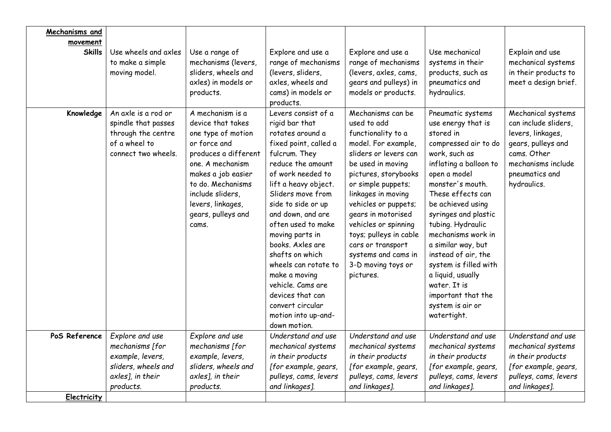| Mechanisms and<br>movement |                                                                                                          |                                                                                                                                                                                                                                            |                                                                                                                                                                                                                                                                                                                                                                                                                                                                    |                                                                                                                                                                                                                                                                                                                                                                                |                                                                                                                                                                                                                                                                                                                                                                                                                                              |                                                                                                                                                             |
|----------------------------|----------------------------------------------------------------------------------------------------------|--------------------------------------------------------------------------------------------------------------------------------------------------------------------------------------------------------------------------------------------|--------------------------------------------------------------------------------------------------------------------------------------------------------------------------------------------------------------------------------------------------------------------------------------------------------------------------------------------------------------------------------------------------------------------------------------------------------------------|--------------------------------------------------------------------------------------------------------------------------------------------------------------------------------------------------------------------------------------------------------------------------------------------------------------------------------------------------------------------------------|----------------------------------------------------------------------------------------------------------------------------------------------------------------------------------------------------------------------------------------------------------------------------------------------------------------------------------------------------------------------------------------------------------------------------------------------|-------------------------------------------------------------------------------------------------------------------------------------------------------------|
| <b>Skills</b>              | Use wheels and axles<br>to make a simple<br>moving model.                                                | Use a range of<br>mechanisms (levers,<br>sliders, wheels and<br>axles) in models or                                                                                                                                                        | Explore and use a<br>range of mechanisms<br>(levers, sliders,<br>axles, wheels and                                                                                                                                                                                                                                                                                                                                                                                 | Explore and use a<br>range of mechanisms<br>(levers, axles, cams,<br>gears and pulleys) in                                                                                                                                                                                                                                                                                     | Use mechanical<br>systems in their<br>products, such as<br>pneumatics and                                                                                                                                                                                                                                                                                                                                                                    | Explain and use<br>mechanical systems<br>in their products to<br>meet a design brief.                                                                       |
|                            |                                                                                                          | products.                                                                                                                                                                                                                                  | cams) in models or<br>products.                                                                                                                                                                                                                                                                                                                                                                                                                                    | models or products.                                                                                                                                                                                                                                                                                                                                                            | hydraulics.                                                                                                                                                                                                                                                                                                                                                                                                                                  |                                                                                                                                                             |
| Knowledge                  | An axle is a rod or<br>spindle that passes<br>through the centre<br>of a wheel to<br>connect two wheels. | A mechanism is a<br>device that takes<br>one type of motion<br>or force and<br>produces a different<br>one. A mechanism<br>makes a job easier<br>to do. Mechanisms<br>include sliders,<br>levers, linkages,<br>gears, pulleys and<br>cams. | Levers consist of a<br>rigid bar that<br>rotates around a<br>fixed point, called a<br>fulcrum. They<br>reduce the amount<br>of work needed to<br>lift a heavy object.<br>Sliders move from<br>side to side or up<br>and down, and are<br>often used to make<br>moving parts in<br>books. Axles are<br>shafts on which<br>wheels can rotate to<br>make a moving<br>vehicle, Cams are<br>devices that can<br>convert circular<br>motion into up-and-<br>down motion. | Mechanisms can be<br>used to add<br>functionality to a<br>model. For example,<br>sliders or levers can<br>be used in moving<br>pictures, storybooks<br>or simple puppets;<br>linkages in moving<br>vehicles or puppets;<br>gears in motorised<br>vehicles or spinning<br>toys; pulleys in cable<br>cars or transport<br>systems and cams in<br>3-D moving toys or<br>pictures. | Pneumatic systems<br>use energy that is<br>stored in<br>compressed air to do<br>work, such as<br>inflating a balloon to<br>open a model<br>monster's mouth.<br>These effects can<br>be achieved using<br>syringes and plastic<br>tubing. Hydraulic<br>mechanisms work in<br>a similar way, but<br>instead of air, the<br>system is filled with<br>a liquid, usually<br>water. It is<br>important that the<br>system is air or<br>watertight. | Mechanical systems<br>can include sliders,<br>levers, linkages,<br>gears, pulleys and<br>cams. Other<br>mechanisms include<br>pneumatics and<br>hydraulics. |
| PoS Reference              | Explore and use                                                                                          | Explore and use                                                                                                                                                                                                                            | Understand and use                                                                                                                                                                                                                                                                                                                                                                                                                                                 | Understand and use                                                                                                                                                                                                                                                                                                                                                             | Understand and use                                                                                                                                                                                                                                                                                                                                                                                                                           | Understand and use                                                                                                                                          |
|                            | mechanisms [for                                                                                          | mechanisms [for                                                                                                                                                                                                                            | mechanical systems                                                                                                                                                                                                                                                                                                                                                                                                                                                 | mechanical systems                                                                                                                                                                                                                                                                                                                                                             | mechanical systems                                                                                                                                                                                                                                                                                                                                                                                                                           | mechanical systems                                                                                                                                          |
|                            | example, levers,                                                                                         | example, levers,                                                                                                                                                                                                                           | in their products                                                                                                                                                                                                                                                                                                                                                                                                                                                  | in their products                                                                                                                                                                                                                                                                                                                                                              | in their products                                                                                                                                                                                                                                                                                                                                                                                                                            | in their products                                                                                                                                           |
|                            | sliders, wheels and                                                                                      | sliders, wheels and                                                                                                                                                                                                                        | [for example, gears,                                                                                                                                                                                                                                                                                                                                                                                                                                               | [for example, gears,                                                                                                                                                                                                                                                                                                                                                           | [for example, gears,                                                                                                                                                                                                                                                                                                                                                                                                                         | [for example, gears,                                                                                                                                        |
|                            | axles], in their                                                                                         | axles], in their                                                                                                                                                                                                                           | pulleys, cams, levers                                                                                                                                                                                                                                                                                                                                                                                                                                              | pulleys, cams, levers                                                                                                                                                                                                                                                                                                                                                          | pulleys, cams, levers                                                                                                                                                                                                                                                                                                                                                                                                                        | pulleys, cams, levers                                                                                                                                       |
|                            | products.                                                                                                | products.                                                                                                                                                                                                                                  | and linkages].                                                                                                                                                                                                                                                                                                                                                                                                                                                     | and linkages].                                                                                                                                                                                                                                                                                                                                                                 | and linkages].                                                                                                                                                                                                                                                                                                                                                                                                                               | and linkages].                                                                                                                                              |
| Electricity                |                                                                                                          |                                                                                                                                                                                                                                            |                                                                                                                                                                                                                                                                                                                                                                                                                                                                    |                                                                                                                                                                                                                                                                                                                                                                                |                                                                                                                                                                                                                                                                                                                                                                                                                                              |                                                                                                                                                             |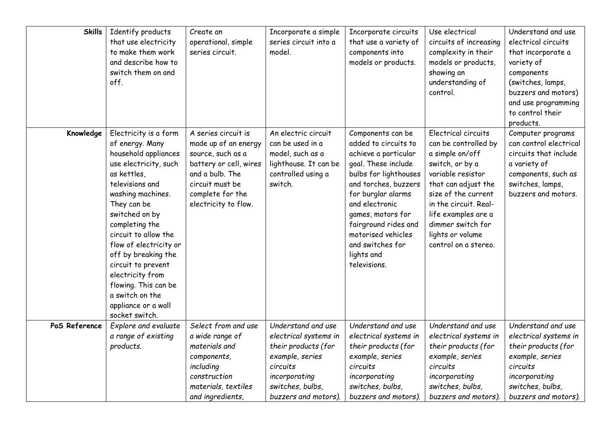| <b>Skills</b> | Identify products<br>that use electricity<br>to make them work<br>and describe how to<br>switch them on and<br>off.                                                                                                                                                                                                                                                                                        | Create an<br>operational, simple<br>series circuit.                                                                                                                          | Incorporate a simple<br>series circuit into a<br>model.                                                                                                        | Incorporate circuits<br>that use a variety of<br>components into<br>models or products.                                                                                                                                                                                                                | Use electrical<br>circuits of increasing<br>complexity in their<br>models or products,<br>showing an<br>understanding of<br>control.                                                                                                                                  | Understand and use<br>electrical circuits<br>that incorporate a<br>variety of<br>components<br>(switches, lamps,<br>buzzers and motors)<br>and use programming<br>to control their<br>products. |
|---------------|------------------------------------------------------------------------------------------------------------------------------------------------------------------------------------------------------------------------------------------------------------------------------------------------------------------------------------------------------------------------------------------------------------|------------------------------------------------------------------------------------------------------------------------------------------------------------------------------|----------------------------------------------------------------------------------------------------------------------------------------------------------------|--------------------------------------------------------------------------------------------------------------------------------------------------------------------------------------------------------------------------------------------------------------------------------------------------------|-----------------------------------------------------------------------------------------------------------------------------------------------------------------------------------------------------------------------------------------------------------------------|-------------------------------------------------------------------------------------------------------------------------------------------------------------------------------------------------|
| Knowledge     | Electricity is a form<br>of energy. Many<br>household appliances<br>use electricity, such<br>as kettles,<br>televisions and<br>washing machines.<br>They can be<br>switched on by<br>completing the<br>circuit to allow the<br>flow of electricity or<br>off by breaking the<br>circuit to prevent<br>electricity from<br>flowing. This can be<br>a switch on the<br>appliance or a wall<br>socket switch. | A series circuit is<br>made up of an energy<br>source, such as a<br>battery or cell, wires<br>and a bulb. The<br>circuit must be<br>complete for the<br>electricity to flow. | An electric circuit<br>can be used in a<br>model, such as a<br>lighthouse. It can be<br>controlled using a<br>switch.                                          | Components can be<br>added to circuits to<br>achieve a particular<br>goal. These include<br>bulbs for lighthouses<br>and torches, buzzers<br>for burglar alarms<br>and electronic<br>games, motors for<br>fairground rides and<br>motorised vehicles<br>and switches for<br>lights and<br>televisions. | Electrical circuits<br>can be controlled by<br>a simple on/off<br>switch, or by a<br>variable resistor<br>that can adjust the<br>size of the current<br>in the circuit. Real-<br>life examples are a<br>dimmer switch for<br>lights or volume<br>control on a stereo. | Computer programs<br>can control electrical<br>circuits that include<br>a variety of<br>components, such as<br>switches, lamps,<br>buzzers and motors.                                          |
| PoS Reference | Explore and evaluate<br>a range of existing<br>products.                                                                                                                                                                                                                                                                                                                                                   | Select from and use<br>a wide range of<br>materials and<br>components,<br>including<br>construction<br>materials, textiles<br>and ingredients,                               | Understand and use<br>electrical systems in<br>their products (for<br>example, series<br>circuits<br>incorporating<br>switches, bulbs,<br>buzzers and motors). | Understand and use<br>electrical systems in<br>their products (for<br>example, series<br>circuits<br>incorporating<br>switches, bulbs,<br>buzzers and motors).                                                                                                                                         | Understand and use<br>electrical systems in<br>their products (for<br>example, series<br>circuits<br>incorporating<br>switches, bulbs,<br>buzzers and motors).                                                                                                        | Understand and use<br>electrical systems in<br>their products (for<br>example, series<br>circuits<br>incorporating<br>switches, bulbs,<br>buzzers and motors).                                  |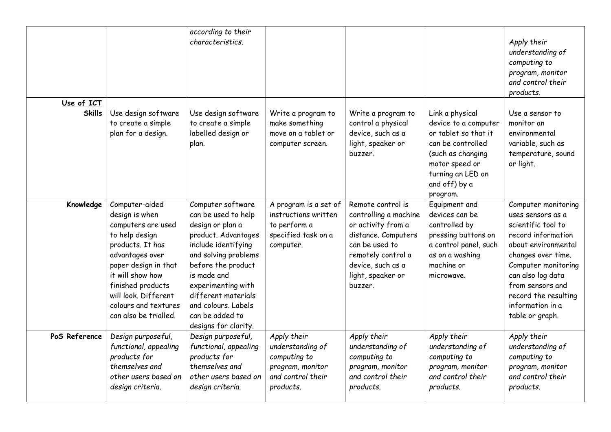|                             |                                                                                                                                                                                                                                                           | according to their<br>characteristics.                                                                                                                                                                                                                                                 |                                                                                                       |                                                                                                                                                                                      |                                                                                                                                                                               | Apply their<br>understanding of<br>computing to<br>program, monitor<br>and control their<br>products.                                                                                                                                                            |
|-----------------------------|-----------------------------------------------------------------------------------------------------------------------------------------------------------------------------------------------------------------------------------------------------------|----------------------------------------------------------------------------------------------------------------------------------------------------------------------------------------------------------------------------------------------------------------------------------------|-------------------------------------------------------------------------------------------------------|--------------------------------------------------------------------------------------------------------------------------------------------------------------------------------------|-------------------------------------------------------------------------------------------------------------------------------------------------------------------------------|------------------------------------------------------------------------------------------------------------------------------------------------------------------------------------------------------------------------------------------------------------------|
| Use of ICT<br><b>Skills</b> | Use design software<br>to create a simple<br>plan for a design.                                                                                                                                                                                           | Use design software<br>to create a simple<br>labelled design or<br>plan.                                                                                                                                                                                                               | Write a program to<br>make something<br>move on a tablet or<br>computer screen.                       | Write a program to<br>control a physical<br>device, such as a<br>light, speaker or<br>buzzer.                                                                                        | Link a physical<br>device to a computer<br>or tablet so that it<br>can be controlled<br>(such as changing<br>motor speed or<br>turning an LED on<br>and off) by a<br>program. | Use a sensor to<br>monitor an<br>environmental<br>variable, such as<br>temperature, sound<br>or light.                                                                                                                                                           |
| Knowledge                   | Computer-aided<br>design is when<br>computers are used<br>to help design<br>products. It has<br>advantages over<br>paper design in that<br>it will show how<br>finished products<br>will look. Different<br>colours and textures<br>can also be trialled. | Computer software<br>can be used to help<br>design or plan a<br>product. Advantages<br>include identifying<br>and solving problems<br>before the product<br>is made and<br>experimenting with<br>different materials<br>and colours. Labels<br>can be added to<br>designs for clarity. | A program is a set of<br>instructions written<br>to perform a<br>specified task on a<br>computer.     | Remote control is<br>controlling a machine<br>or activity from a<br>distance. Computers<br>can be used to<br>remotely control a<br>device, such as a<br>light, speaker or<br>buzzer. | Equipment and<br>devices can be<br>controlled by<br>pressing buttons on<br>a control panel, such<br>as on a washing<br>machine or<br>microwave.                               | Computer monitoring<br>uses sensors as a<br>scientific tool to<br>record information<br>about environmental<br>changes over time.<br>Computer monitoring<br>can also log data<br>from sensors and<br>record the resulting<br>information in a<br>table or graph. |
| PoS Reference               | Design purposeful,<br>functional, appealing<br>products for<br>themselves and<br>other users based on<br>design criteria.                                                                                                                                 | Design purposeful,<br>functional, appealing<br>products for<br>themselves and<br>other users based on<br>design criteria.                                                                                                                                                              | Apply their<br>understanding of<br>computing to<br>program, monitor<br>and control their<br>products. | Apply their<br>understanding of<br>computing to<br>program, monitor<br>and control their<br>products.                                                                                | Apply their<br>understanding of<br>computing to<br>program, monitor<br>and control their<br>products.                                                                         | Apply their<br>understanding of<br>computing to<br>program, monitor<br>and control their<br>products.                                                                                                                                                            |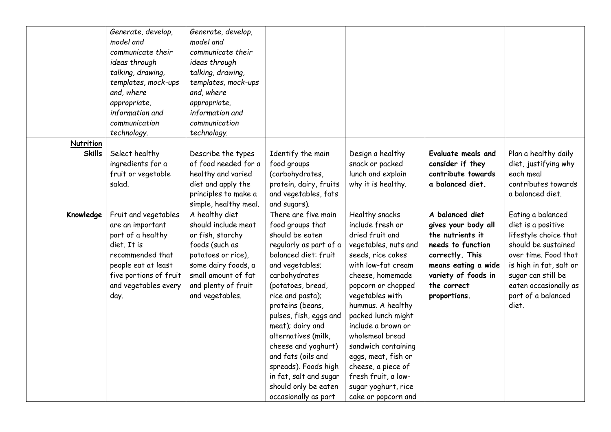|               | Generate, develop,<br>model and<br>communicate their<br>ideas through<br>talking, drawing,<br>templates, mock-ups | Generate, develop,<br>model and<br>communicate their<br>ideas through<br>talking, drawing,<br>templates, mock-ups |                                                |                                         |                                        |                                  |
|---------------|-------------------------------------------------------------------------------------------------------------------|-------------------------------------------------------------------------------------------------------------------|------------------------------------------------|-----------------------------------------|----------------------------------------|----------------------------------|
|               | and, where<br>appropriate,                                                                                        | and, where<br>appropriate,                                                                                        |                                                |                                         |                                        |                                  |
|               | information and                                                                                                   | information and                                                                                                   |                                                |                                         |                                        |                                  |
|               | communication                                                                                                     | communication                                                                                                     |                                                |                                         |                                        |                                  |
|               | technology.                                                                                                       | technology.                                                                                                       |                                                |                                         |                                        |                                  |
| Nutrition     |                                                                                                                   |                                                                                                                   |                                                |                                         |                                        |                                  |
| <b>Skills</b> | Select healthy                                                                                                    | Describe the types                                                                                                | Identify the main                              | Design a healthy                        | <b>Evaluate meals and</b>              | Plan a healthy daily             |
|               | ingredients for a                                                                                                 | of food needed for a                                                                                              | food groups                                    | snack or packed                         | consider if they                       | diet, justifying why             |
|               | fruit or vegetable<br>salad.                                                                                      | healthy and varied                                                                                                | (carbohydrates,                                | lunch and explain<br>why it is healthy. | contribute towards<br>a balanced diet. | each meal<br>contributes towards |
|               |                                                                                                                   | diet and apply the<br>principles to make a                                                                        | protein, dairy, fruits<br>and vegetables, fats |                                         |                                        | a balanced diet.                 |
|               |                                                                                                                   | simple, healthy meal.                                                                                             | and sugars).                                   |                                         |                                        |                                  |
| Knowledge     | Fruit and vegetables                                                                                              | A healthy diet                                                                                                    | There are five main                            | Healthy snacks                          | A balanced diet                        | Eating a balanced                |
|               | are an important                                                                                                  | should include meat                                                                                               | food groups that                               | include fresh or                        | gives your body all                    | diet is a positive               |
|               | part of a healthy                                                                                                 | or fish, starchy                                                                                                  | should be eaten                                | dried fruit and                         | the nutrients it                       | lifestyle choice that            |
|               | diet. It is                                                                                                       | foods (such as                                                                                                    | regularly as part of a                         | vegetables, nuts and                    | needs to function                      | should be sustained              |
|               | recommended that                                                                                                  | potatoes or rice),                                                                                                | balanced diet: fruit                           | seeds, rice cakes                       | correctly. This                        | over time. Food that             |
|               | people eat at least                                                                                               | some dairy foods, a                                                                                               | and vegetables;                                | with low-fat cream                      | means eating a wide                    | is high in fat, salt or          |
|               | five portions of fruit                                                                                            | small amount of fat                                                                                               | carbohydrates                                  | cheese, homemade                        | variety of foods in                    | sugar can still be               |
|               | and vegetables every                                                                                              | and plenty of fruit                                                                                               | (potatoes, bread,                              | popcorn or chopped                      | the correct                            | eaten occasionally as            |
|               | day.                                                                                                              | and vegetables.                                                                                                   | rice and pasta);                               | vegetables with                         | proportions.                           | part of a balanced               |
|               |                                                                                                                   |                                                                                                                   | proteins (beans,                               | hummus. A healthy<br>packed lunch might |                                        | diet.                            |
|               |                                                                                                                   |                                                                                                                   | pulses, fish, eggs and<br>meat); dairy and     | include a brown or                      |                                        |                                  |
|               |                                                                                                                   |                                                                                                                   | alternatives (milk,                            | wholemeal bread                         |                                        |                                  |
|               |                                                                                                                   |                                                                                                                   | cheese and yoghurt)                            | sandwich containing                     |                                        |                                  |
|               |                                                                                                                   |                                                                                                                   | and fats (oils and                             | eggs, meat, fish or                     |                                        |                                  |
|               |                                                                                                                   |                                                                                                                   | spreads). Foods high                           | cheese, a piece of                      |                                        |                                  |
|               |                                                                                                                   |                                                                                                                   | in fat, salt and sugar                         | fresh fruit, a low-                     |                                        |                                  |
|               |                                                                                                                   |                                                                                                                   | should only be eaten                           | sugar yoghurt, rice                     |                                        |                                  |
|               |                                                                                                                   |                                                                                                                   | occasionally as part                           | cake or popcorn and                     |                                        |                                  |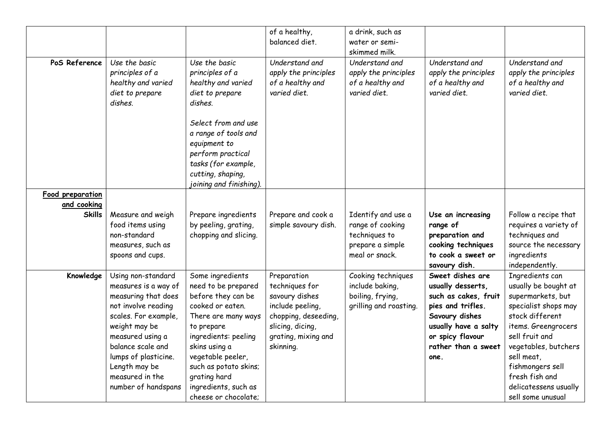|                  |                                                                                      |                                                                                                                                                         | of a healthy,<br>balanced diet.                                            | a drink, such as<br>water or semi-<br>skimmed milk.                        |                                                                            |                                                                            |
|------------------|--------------------------------------------------------------------------------------|---------------------------------------------------------------------------------------------------------------------------------------------------------|----------------------------------------------------------------------------|----------------------------------------------------------------------------|----------------------------------------------------------------------------|----------------------------------------------------------------------------|
| PoS Reference    | Use the basic<br>principles of a<br>healthy and varied<br>diet to prepare<br>dishes. | Use the basic<br>principles of a<br>healthy and varied<br>diet to prepare<br>dishes.                                                                    | Understand and<br>apply the principles<br>of a healthy and<br>varied diet. | Understand and<br>apply the principles<br>of a healthy and<br>varied diet. | Understand and<br>apply the principles<br>of a healthy and<br>varied diet. | Understand and<br>apply the principles<br>of a healthy and<br>varied diet. |
|                  |                                                                                      | Select from and use<br>a range of tools and<br>equipment to<br>perform practical<br>tasks (for example,<br>cutting, shaping,<br>joining and finishing). |                                                                            |                                                                            |                                                                            |                                                                            |
| Food preparation |                                                                                      |                                                                                                                                                         |                                                                            |                                                                            |                                                                            |                                                                            |
| and cooking      |                                                                                      |                                                                                                                                                         |                                                                            |                                                                            |                                                                            |                                                                            |
| <b>Skills</b>    | Measure and weigh                                                                    | Prepare ingredients                                                                                                                                     | Prepare and cook a                                                         | Identify and use a                                                         | Use an increasing                                                          | Follow a recipe that                                                       |
|                  | food items using                                                                     | by peeling, grating,                                                                                                                                    | simple savoury dish.                                                       | range of cooking                                                           | range of                                                                   | requires a variety of                                                      |
|                  | non-standard                                                                         | chopping and slicing.                                                                                                                                   |                                                                            | techniques to                                                              | preparation and                                                            | techniques and                                                             |
|                  | measures, such as                                                                    |                                                                                                                                                         |                                                                            | prepare a simple                                                           | cooking techniques                                                         | source the necessary                                                       |
|                  | spoons and cups.                                                                     |                                                                                                                                                         |                                                                            | meal or snack.                                                             | to cook a sweet or                                                         | ingredients                                                                |
|                  |                                                                                      |                                                                                                                                                         |                                                                            |                                                                            | savoury dish.                                                              | independently.                                                             |
| Knowledge        | Using non-standard                                                                   | Some ingredients                                                                                                                                        | Preparation                                                                | Cooking techniques                                                         | Sweet dishes are                                                           | Ingredients can                                                            |
|                  | measures is a way of                                                                 | need to be prepared                                                                                                                                     | techniques for                                                             | include baking,                                                            | usually desserts,                                                          | usually be bought at                                                       |
|                  | measuring that does                                                                  | before they can be                                                                                                                                      | savoury dishes                                                             | boiling, frying,                                                           | such as cakes, fruit                                                       | supermarkets, but                                                          |
|                  | not involve reading                                                                  | cooked or eaten.                                                                                                                                        | include peeling,                                                           | grilling and roasting.                                                     | pies and trifles.                                                          | specialist shops may                                                       |
|                  | scales. For example,                                                                 | There are many ways                                                                                                                                     | chopping, deseeding,                                                       |                                                                            | Savoury dishes                                                             | stock different                                                            |
|                  | weight may be                                                                        | to prepare                                                                                                                                              | slicing, dicing,                                                           |                                                                            | usually have a salty                                                       | items. Greengrocers                                                        |
|                  | measured using a                                                                     | ingredients: peeling                                                                                                                                    | grating, mixing and                                                        |                                                                            | or spicy flavour                                                           | sell fruit and                                                             |
|                  | balance scale and                                                                    | skins using a                                                                                                                                           | skinning.                                                                  |                                                                            | rather than a sweet                                                        | vegetables, butchers                                                       |
|                  | lumps of plasticine.                                                                 | vegetable peeler,                                                                                                                                       |                                                                            |                                                                            | one.                                                                       | sell meat,                                                                 |
|                  | Length may be                                                                        | such as potato skins;                                                                                                                                   |                                                                            |                                                                            |                                                                            | fishmongers sell                                                           |
|                  | measured in the                                                                      | grating hard                                                                                                                                            |                                                                            |                                                                            |                                                                            | fresh fish and                                                             |
|                  | number of handspans                                                                  | ingredients, such as                                                                                                                                    |                                                                            |                                                                            |                                                                            | delicatessens usually                                                      |
|                  |                                                                                      | cheese or chocolate;                                                                                                                                    |                                                                            |                                                                            |                                                                            | sell some unusual                                                          |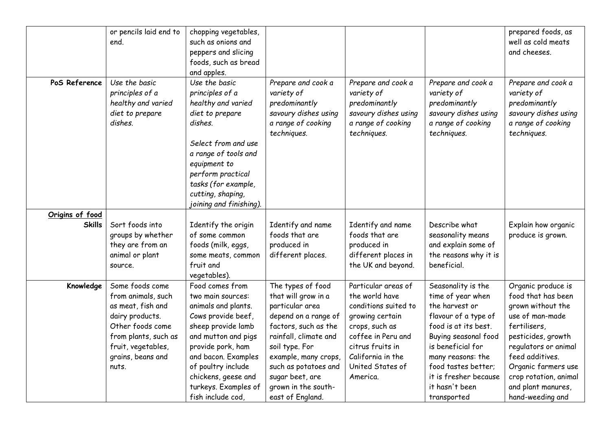|                 | or pencils laid end to<br>end.                                                                                                                                                | chopping vegetables,<br>such as onions and<br>peppers and slicing<br>foods, such as bread<br>and apples.                                                                                                                                                             |                                                                                                                                                                                                                                                                      |                                                                                                                                                                                                   |                                                                                                                                                                                                                                                              | prepared foods, as<br>well as cold meats<br>and cheeses.                                                                                                                                                                                                    |
|-----------------|-------------------------------------------------------------------------------------------------------------------------------------------------------------------------------|----------------------------------------------------------------------------------------------------------------------------------------------------------------------------------------------------------------------------------------------------------------------|----------------------------------------------------------------------------------------------------------------------------------------------------------------------------------------------------------------------------------------------------------------------|---------------------------------------------------------------------------------------------------------------------------------------------------------------------------------------------------|--------------------------------------------------------------------------------------------------------------------------------------------------------------------------------------------------------------------------------------------------------------|-------------------------------------------------------------------------------------------------------------------------------------------------------------------------------------------------------------------------------------------------------------|
| PoS Reference   | Use the basic<br>principles of a<br>healthy and varied<br>diet to prepare<br>dishes.                                                                                          | Use the basic<br>principles of a<br>healthy and varied<br>diet to prepare<br>dishes.<br>Select from and use<br>a range of tools and<br>equipment to<br>perform practical<br>tasks (for example,<br>cutting, shaping,<br>joining and finishing).                      | Prepare and cook a<br>variety of<br>predominantly<br>savoury dishes using<br>a range of cooking<br>techniques.                                                                                                                                                       | Prepare and cook a<br>variety of<br>predominantly<br>savoury dishes using<br>a range of cooking<br>techniques.                                                                                    | Prepare and cook a<br>variety of<br>predominantly<br>savoury dishes using<br>a range of cooking<br>techniques.                                                                                                                                               | Prepare and cook a<br>variety of<br>predominantly<br>savoury dishes using<br>a range of cooking<br>techniques.                                                                                                                                              |
| Origins of food |                                                                                                                                                                               |                                                                                                                                                                                                                                                                      |                                                                                                                                                                                                                                                                      |                                                                                                                                                                                                   |                                                                                                                                                                                                                                                              |                                                                                                                                                                                                                                                             |
| <b>Skills</b>   | Sort foods into<br>groups by whether<br>they are from an<br>animal or plant<br>source.                                                                                        | Identify the origin<br>of some common<br>foods (milk, eggs,<br>some meats, common<br>fruit and<br>vegetables).                                                                                                                                                       | Identify and name<br>foods that are<br>produced in<br>different places.                                                                                                                                                                                              | Identify and name<br>foods that are<br>produced in<br>different places in<br>the UK and beyond.                                                                                                   | Describe what<br>seasonality means<br>and explain some of<br>the reasons why it is<br>beneficial.                                                                                                                                                            | Explain how organic<br>produce is grown.                                                                                                                                                                                                                    |
| Knowledge       | Some foods come<br>from animals, such<br>as meat, fish and<br>dairy products.<br>Other foods come<br>from plants, such as<br>fruit, vegetables,<br>grains, beans and<br>nuts. | Food comes from<br>two main sources:<br>animals and plants.<br>Cows provide beef,<br>sheep provide lamb<br>and mutton and pigs<br>provide pork, ham<br>and bacon. Examples<br>of poultry include<br>chickens, geese and<br>turkeys. Examples of<br>fish include cod. | The types of food<br>that will grow in a<br>particular area<br>depend on a range of<br>factors, such as the<br>rainfall, climate and<br>soil type. For<br>example, many crops,<br>such as potatoes and<br>sugar beet, are<br>grown in the south-<br>east of England. | Particular areas of<br>the world have<br>conditions suited to<br>growing certain<br>crops, such as<br>coffee in Peru and<br>citrus fruits in<br>California in the<br>United States of<br>America. | Seasonality is the<br>time of year when<br>the harvest or<br>flavour of a type of<br>food is at its best.<br>Buying seasonal food<br>is beneficial for<br>many reasons: the<br>food tastes better;<br>it is fresher because<br>it hasn't been<br>transported | Organic produce is<br>food that has been<br>grown without the<br>use of man-made<br>fertilisers,<br>pesticides, growth<br>regulators or animal<br>feed additives.<br>Organic farmers use<br>crop rotation, animal<br>and plant manures,<br>hand-weeding and |